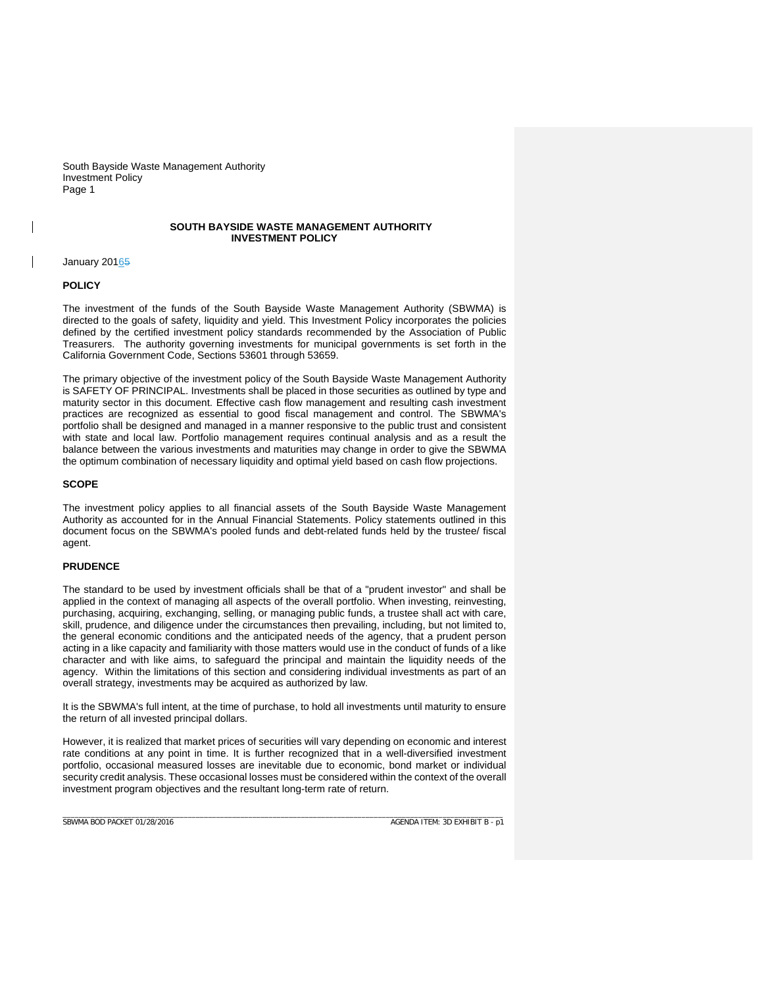## **SOUTH BAYSIDE WASTE MANAGEMENT AUTHORITY INVESTMENT POLICY**

January 20165

### **POLICY**

The investment of the funds of the South Bayside Waste Management Authority (SBWMA) is directed to the goals of safety, liquidity and yield. This Investment Policy incorporates the policies defined by the certified investment policy standards recommended by the Association of Public Treasurers. The authority governing investments for municipal governments is set forth in the California Government Code, Sections 53601 through 53659.

The primary objective of the investment policy of the South Bayside Waste Management Authority is SAFETY OF PRINCIPAL. Investments shall be placed in those securities as outlined by type and maturity sector in this document. Effective cash flow management and resulting cash investment practices are recognized as essential to good fiscal management and control. The SBWMA's portfolio shall be designed and managed in a manner responsive to the public trust and consistent with state and local law. Portfolio management requires continual analysis and as a result the balance between the various investments and maturities may change in order to give the SBWMA the optimum combination of necessary liquidity and optimal yield based on cash flow projections.

# **SCOPE**

The investment policy applies to all financial assets of the South Bayside Waste Management Authority as accounted for in the Annual Financial Statements. Policy statements outlined in this document focus on the SBWMA's pooled funds and debt-related funds held by the trustee/ fiscal agent.

## **PRUDENCE**

The standard to be used by investment officials shall be that of a "prudent investor" and shall be applied in the context of managing all aspects of the overall portfolio. When investing, reinvesting, purchasing, acquiring, exchanging, selling, or managing public funds, a trustee shall act with care, skill, prudence, and diligence under the circumstances then prevailing, including, but not limited to, the general economic conditions and the anticipated needs of the agency, that a prudent person acting in a like capacity and familiarity with those matters would use in the conduct of funds of a like character and with like aims, to safeguard the principal and maintain the liquidity needs of the agency. Within the limitations of this section and considering individual investments as part of an overall strategy, investments may be acquired as authorized by law.

It is the SBWMA's full intent, at the time of purchase, to hold all investments until maturity to ensure the return of all invested principal dollars.

However, it is realized that market prices of securities will vary depending on economic and interest rate conditions at any point in time. It is further recognized that in a well-diversified investment portfolio, occasional measured losses are inevitable due to economic, bond market or individual security credit analysis. These occasional losses must be considered within the context of the overall investment program objectives and the resultant long-term rate of return.

\_\_\_\_\_\_\_\_\_\_\_\_\_\_\_\_\_\_\_\_\_\_\_\_\_\_\_\_\_\_\_\_\_\_\_\_\_\_\_\_\_\_\_\_\_\_\_\_\_\_\_\_\_\_\_\_\_\_\_\_\_\_\_\_\_\_\_\_\_\_\_\_\_\_\_\_\_\_\_\_\_\_\_\_\_\_\_\_\_\_\_\_\_\_\_\_\_\_\_\_\_\_\_\_\_\_\_\_\_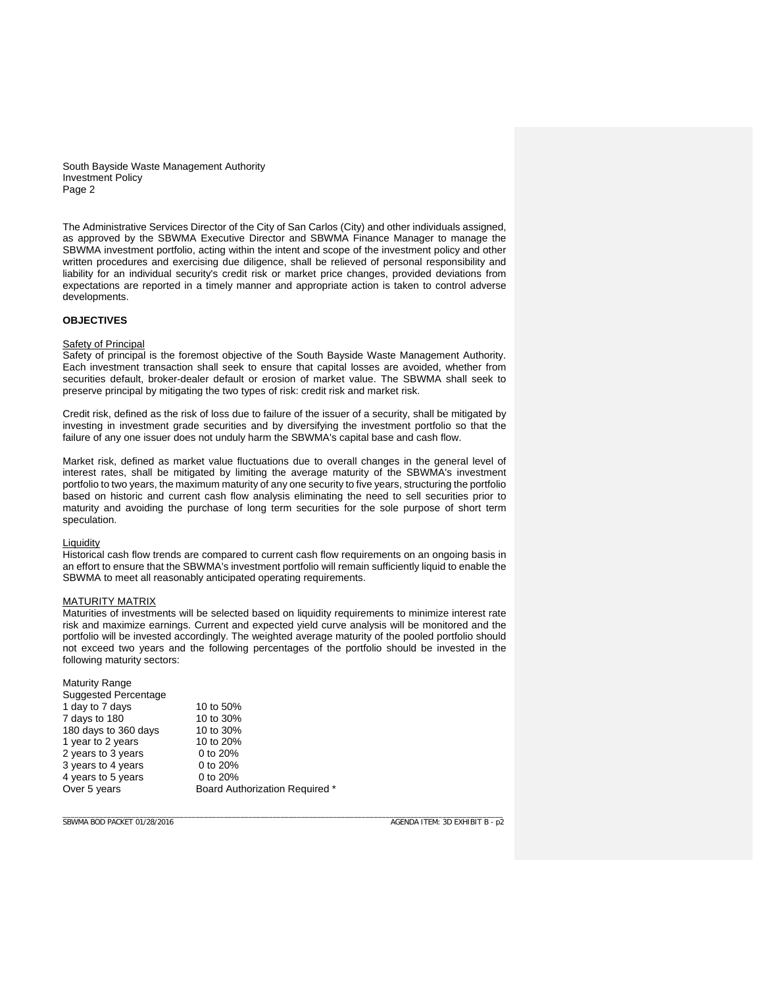The Administrative Services Director of the City of San Carlos (City) and other individuals assigned, as approved by the SBWMA Executive Director and SBWMA Finance Manager to manage the SBWMA investment portfolio, acting within the intent and scope of the investment policy and other written procedures and exercising due diligence, shall be relieved of personal responsibility and liability for an individual security's credit risk or market price changes, provided deviations from expectations are reported in a timely manner and appropriate action is taken to control adverse developments.

## **OBJECTIVES**

#### **Safety of Principal**

Safety of principal is the foremost objective of the South Bayside Waste Management Authority. Each investment transaction shall seek to ensure that capital losses are avoided, whether from securities default, broker-dealer default or erosion of market value. The SBWMA shall seek to preserve principal by mitigating the two types of risk: credit risk and market risk.

Credit risk, defined as the risk of loss due to failure of the issuer of a security, shall be mitigated by investing in investment grade securities and by diversifying the investment portfolio so that the failure of any one issuer does not unduly harm the SBWMA's capital base and cash flow.

Market risk, defined as market value fluctuations due to overall changes in the general level of interest rates, shall be mitigated by limiting the average maturity of the SBWMA's investment portfolio to two years, the maximum maturity of any one security to five years, structuring the portfolio based on historic and current cash flow analysis eliminating the need to sell securities prior to maturity and avoiding the purchase of long term securities for the sole purpose of short term speculation.

## **Liquidity**

Historical cash flow trends are compared to current cash flow requirements on an ongoing basis in an effort to ensure that the SBWMA's investment portfolio will remain sufficiently liquid to enable the SBWMA to meet all reasonably anticipated operating requirements.

## MATURITY MATRIX

Maturities of investments will be selected based on liquidity requirements to minimize interest rate risk and maximize earnings. Current and expected yield curve analysis will be monitored and the portfolio will be invested accordingly. The weighted average maturity of the pooled portfolio should not exceed two years and the following percentages of the portfolio should be invested in the following maturity sectors:

\_\_\_\_\_\_\_\_\_\_\_\_\_\_\_\_\_\_\_\_\_\_\_\_\_\_\_\_\_\_\_\_\_\_\_\_\_\_\_\_\_\_\_\_\_\_\_\_\_\_\_\_\_\_\_\_\_\_\_\_\_\_\_\_\_\_\_\_\_\_\_\_\_\_\_\_\_\_\_\_\_\_\_\_\_\_\_\_\_\_\_\_\_\_\_\_\_\_\_\_\_\_\_\_\_\_\_\_\_

| <b>Maturity Range</b><br>Suggested Percentage |                                       |
|-----------------------------------------------|---------------------------------------|
| 1 day to 7 days                               | 10 to 50%                             |
| 7 days to 180                                 | 10 to 30%                             |
| 180 days to 360 days                          | 10 to 30%                             |
| 1 year to 2 years                             | 10 to 20%                             |
| 2 years to 3 years                            | 0 to $20%$                            |
| 3 years to 4 years                            | 0 to 20%                              |
| 4 years to 5 years                            | 0 to $20%$                            |
| Over 5 years                                  | <b>Board Authorization Required *</b> |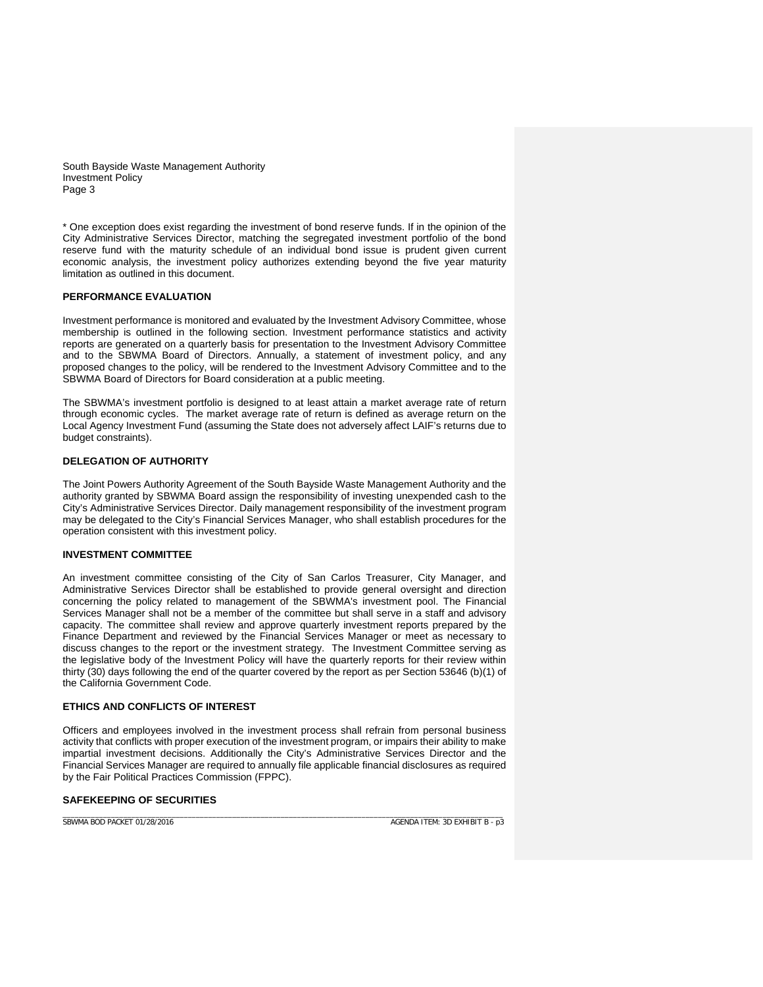\* One exception does exist regarding the investment of bond reserve funds. If in the opinion of the City Administrative Services Director, matching the segregated investment portfolio of the bond reserve fund with the maturity schedule of an individual bond issue is prudent given current economic analysis, the investment policy authorizes extending beyond the five year maturity limitation as outlined in this document.

## **PERFORMANCE EVALUATION**

Investment performance is monitored and evaluated by the Investment Advisory Committee, whose membership is outlined in the following section. Investment performance statistics and activity reports are generated on a quarterly basis for presentation to the Investment Advisory Committee and to the SBWMA Board of Directors. Annually, a statement of investment policy, and any proposed changes to the policy, will be rendered to the Investment Advisory Committee and to the SBWMA Board of Directors for Board consideration at a public meeting.

The SBWMA's investment portfolio is designed to at least attain a market average rate of return through economic cycles. The market average rate of return is defined as average return on the Local Agency Investment Fund (assuming the State does not adversely affect LAIF's returns due to budget constraints).

# **DELEGATION OF AUTHORITY**

The Joint Powers Authority Agreement of the South Bayside Waste Management Authority and the authority granted by SBWMA Board assign the responsibility of investing unexpended cash to the City's Administrative Services Director. Daily management responsibility of the investment program may be delegated to the City's Financial Services Manager, who shall establish procedures for the operation consistent with this investment policy.

# **INVESTMENT COMMITTEE**

An investment committee consisting of the City of San Carlos Treasurer, City Manager, and Administrative Services Director shall be established to provide general oversight and direction concerning the policy related to management of the SBWMA's investment pool. The Financial Services Manager shall not be a member of the committee but shall serve in a staff and advisory capacity. The committee shall review and approve quarterly investment reports prepared by the Finance Department and reviewed by the Financial Services Manager or meet as necessary to discuss changes to the report or the investment strategy. The Investment Committee serving as the legislative body of the Investment Policy will have the quarterly reports for their review within thirty (30) days following the end of the quarter covered by the report as per Section 53646 (b)(1) of the California Government Code.

### **ETHICS AND CONFLICTS OF INTEREST**

Officers and employees involved in the investment process shall refrain from personal business activity that conflicts with proper execution of the investment program, or impairs their ability to make impartial investment decisions. Additionally the City's Administrative Services Director and the Financial Services Manager are required to annually file applicable financial disclosures as required by the Fair Political Practices Commission (FPPC).

\_\_\_\_\_\_\_\_\_\_\_\_\_\_\_\_\_\_\_\_\_\_\_\_\_\_\_\_\_\_\_\_\_\_\_\_\_\_\_\_\_\_\_\_\_\_\_\_\_\_\_\_\_\_\_\_\_\_\_\_\_\_\_\_\_\_\_\_\_\_\_\_\_\_\_\_\_\_\_\_\_\_\_\_\_\_\_\_\_\_\_\_\_\_\_\_\_\_\_\_\_\_\_\_\_\_\_\_\_

### **SAFEKEEPING OF SECURITIES**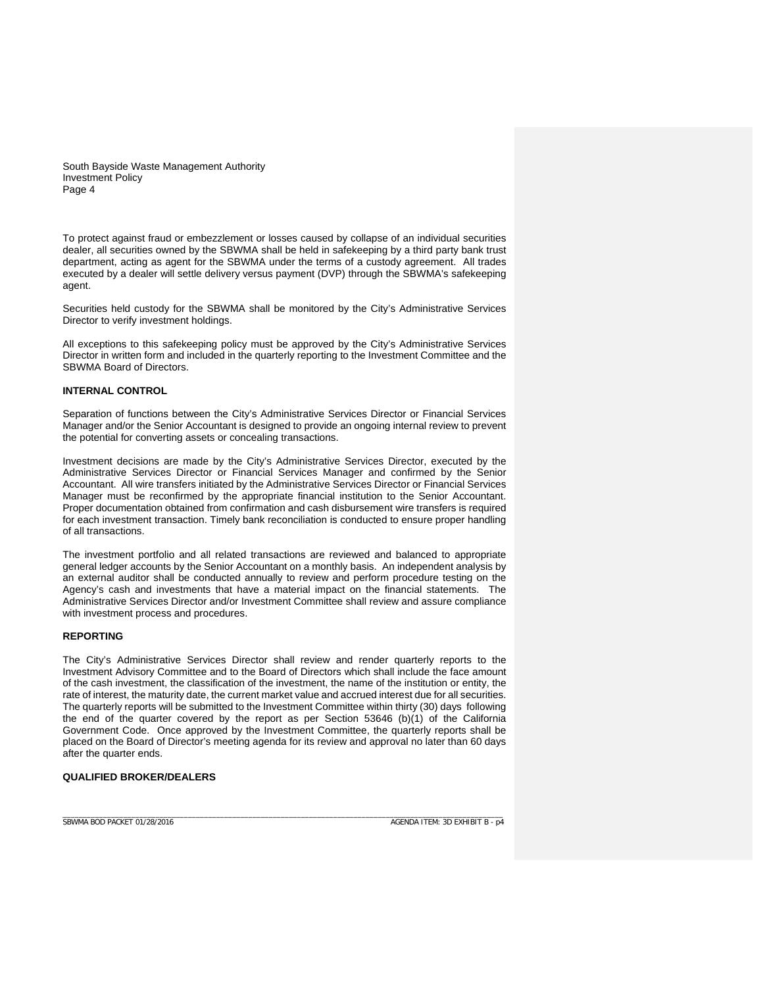To protect against fraud or embezzlement or losses caused by collapse of an individual securities dealer, all securities owned by the SBWMA shall be held in safekeeping by a third party bank trust department, acting as agent for the SBWMA under the terms of a custody agreement. All trades executed by a dealer will settle delivery versus payment (DVP) through the SBWMA's safekeeping agent.

Securities held custody for the SBWMA shall be monitored by the City's Administrative Services Director to verify investment holdings.

All exceptions to this safekeeping policy must be approved by the City's Administrative Services Director in written form and included in the quarterly reporting to the Investment Committee and the SBWMA Board of Directors.

# **INTERNAL CONTROL**

Separation of functions between the City's Administrative Services Director or Financial Services Manager and/or the Senior Accountant is designed to provide an ongoing internal review to prevent the potential for converting assets or concealing transactions.

Investment decisions are made by the City's Administrative Services Director, executed by the Administrative Services Director or Financial Services Manager and confirmed by the Senior Accountant. All wire transfers initiated by the Administrative Services Director or Financial Services Manager must be reconfirmed by the appropriate financial institution to the Senior Accountant. Proper documentation obtained from confirmation and cash disbursement wire transfers is required for each investment transaction. Timely bank reconciliation is conducted to ensure proper handling of all transactions.

The investment portfolio and all related transactions are reviewed and balanced to appropriate general ledger accounts by the Senior Accountant on a monthly basis. An independent analysis by an external auditor shall be conducted annually to review and perform procedure testing on the Agency's cash and investments that have a material impact on the financial statements. The Administrative Services Director and/or Investment Committee shall review and assure compliance with investment process and procedures.

# **REPORTING**

The City's Administrative Services Director shall review and render quarterly reports to the Investment Advisory Committee and to the Board of Directors which shall include the face amount of the cash investment, the classification of the investment, the name of the institution or entity, the rate of interest, the maturity date, the current market value and accrued interest due for all securities. The quarterly reports will be submitted to the Investment Committee within thirty (30) days following the end of the quarter covered by the report as per Section 53646 (b)(1) of the California Government Code. Once approved by the Investment Committee, the quarterly reports shall be placed on the Board of Director's meeting agenda for its review and approval no later than 60 days after the quarter ends.

\_\_\_\_\_\_\_\_\_\_\_\_\_\_\_\_\_\_\_\_\_\_\_\_\_\_\_\_\_\_\_\_\_\_\_\_\_\_\_\_\_\_\_\_\_\_\_\_\_\_\_\_\_\_\_\_\_\_\_\_\_\_\_\_\_\_\_\_\_\_\_\_\_\_\_\_\_\_\_\_\_\_\_\_\_\_\_\_\_\_\_\_\_\_\_\_\_\_\_\_\_\_\_\_\_\_\_\_\_

# **QUALIFIED BROKER/DEALERS**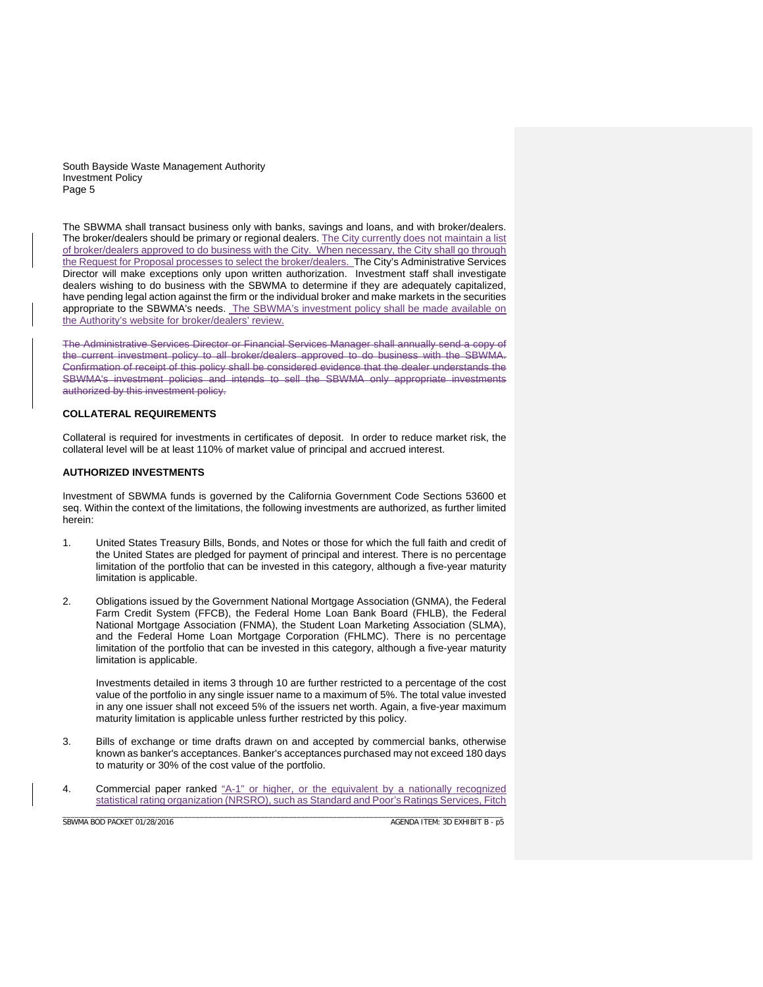The SBWMA shall transact business only with banks, savings and loans, and with broker/dealers. The broker/dealers should be primary or regional dealers. The City currently does not maintain a list of broker/dealers approved to do business with the City. When necessary, the City shall go through the Request for Proposal processes to select the broker/dealers. The City's Administrative Services Director will make exceptions only upon written authorization. Investment staff shall investigate dealers wishing to do business with the SBWMA to determine if they are adequately capitalized, have pending legal action against the firm or the individual broker and make markets in the securities appropriate to the SBWMA's needs. The SBWMA's investment policy shall be made available on the Authority's website for broker/dealers' review.

The Administrative Services Director or Financial Services Manager shall annually send a copy of the current investment policy to all broker/dealers approved to do business with the SBWMA. Confirmation of receipt of this policy shall be considered evidence that the dealer understands the SBWMA's investment policies and intends to sell the SBWMA only appropriate investments authorized by this investment policy.

### **COLLATERAL REQUIREMENTS**

Collateral is required for investments in certificates of deposit. In order to reduce market risk, the collateral level will be at least 110% of market value of principal and accrued interest.

## **AUTHORIZED INVESTMENTS**

Investment of SBWMA funds is governed by the California Government Code Sections 53600 et seq. Within the context of the limitations, the following investments are authorized, as further limited herein:

- 1. United States Treasury Bills, Bonds, and Notes or those for which the full faith and credit of the United States are pledged for payment of principal and interest. There is no percentage limitation of the portfolio that can be invested in this category, although a five-year maturity limitation is applicable.
- 2. Obligations issued by the Government National Mortgage Association (GNMA), the Federal Farm Credit System (FFCB), the Federal Home Loan Bank Board (FHLB), the Federal National Mortgage Association (FNMA), the Student Loan Marketing Association (SLMA), and the Federal Home Loan Mortgage Corporation (FHLMC). There is no percentage limitation of the portfolio that can be invested in this category, although a five-year maturity limitation is applicable.

Investments detailed in items 3 through 10 are further restricted to a percentage of the cost value of the portfolio in any single issuer name to a maximum of 5%. The total value invested in any one issuer shall not exceed 5% of the issuers net worth. Again, a five-year maximum maturity limitation is applicable unless further restricted by this policy.

- 3. Bills of exchange or time drafts drawn on and accepted by commercial banks, otherwise known as banker's acceptances. Banker's acceptances purchased may not exceed 180 days to maturity or 30% of the cost value of the portfolio.
- 4. Commercial paper ranked "A-1" or higher, or the equivalent by a nationally recognized statistical rating organization (NRSRO), such as Standard and Poor's Ratings Services, Fitch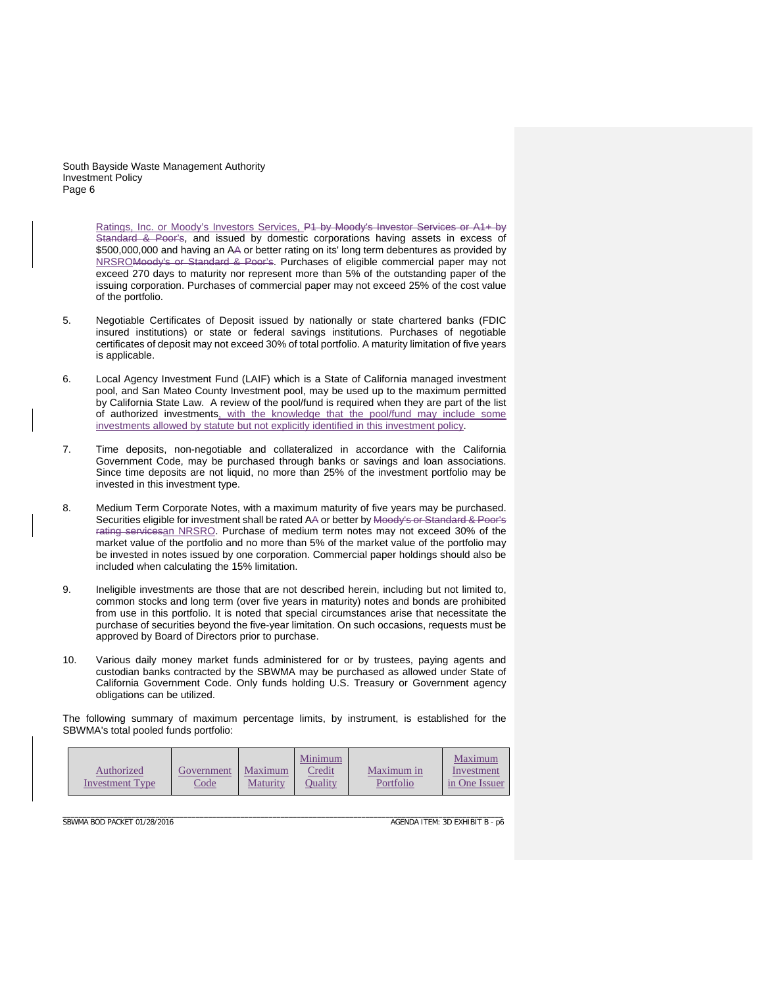> Ratings, Inc. or Moody's Investors Services, P1 by Moody's Investor Services or A1+ by Standard & Poor's, and issued by domestic corporations having assets in excess of \$500,000,000 and having an AA or better rating on its' long term debentures as provided by NRSROMoody's or Standard & Poor's. Purchases of eligible commercial paper may not exceed 270 days to maturity nor represent more than 5% of the outstanding paper of the issuing corporation. Purchases of commercial paper may not exceed 25% of the cost value of the portfolio.

- 5. Negotiable Certificates of Deposit issued by nationally or state chartered banks (FDIC insured institutions) or state or federal savings institutions. Purchases of negotiable certificates of deposit may not exceed 30% of total portfolio. A maturity limitation of five years is applicable.
- 6. Local Agency Investment Fund (LAIF) which is a State of California managed investment pool, and San Mateo County Investment pool, may be used up to the maximum permitted by California State Law. A review of the pool/fund is required when they are part of the list of authorized investments, with the knowledge that the pool/fund may include some investments allowed by statute but not explicitly identified in this investment policy.
- 7. Time deposits, non-negotiable and collateralized in accordance with the California Government Code, may be purchased through banks or savings and loan associations. Since time deposits are not liquid, no more than 25% of the investment portfolio may be invested in this investment type.
- 8. Medium Term Corporate Notes, with a maximum maturity of five years may be purchased. Securities eligible for investment shall be rated AA or better by Moody's or Standard & Poor's rating servicesan NRSRO. Purchase of medium term notes may not exceed 30% of the market value of the portfolio and no more than 5% of the market value of the portfolio may be invested in notes issued by one corporation. Commercial paper holdings should also be included when calculating the 15% limitation.
- 9. Ineligible investments are those that are not described herein, including but not limited to, common stocks and long term (over five years in maturity) notes and bonds are prohibited from use in this portfolio. It is noted that special circumstances arise that necessitate the purchase of securities beyond the five-year limitation. On such occasions, requests must be approved by Board of Directors prior to purchase.
- 10. Various daily money market funds administered for or by trustees, paying agents and custodian banks contracted by the SBWMA may be purchased as allowed under State of California Government Code. Only funds holding U.S. Treasury or Government agency obligations can be utilized.

The following summary of maximum percentage limits, by instrument, is established for the SBWMA's total pooled funds portfolio:

|                 |            |          | Minimum |            | Maximum       |  |
|-----------------|------------|----------|---------|------------|---------------|--|
| Authorized      | Government | Maximum  | Credit  | Maximum in | Investment    |  |
| Investment Type | Code       | Maturity | Oualitv | Portfolio  | in One Issuer |  |

SBWMA BOD PACKET 01/28/2016AGENDA ITEM: 3D EXHIBIT B - p6

\_\_\_\_\_\_\_\_\_\_\_\_\_\_\_\_\_\_\_\_\_\_\_\_\_\_\_\_\_\_\_\_\_\_\_\_\_\_\_\_\_\_\_\_\_\_\_\_\_\_\_\_\_\_\_\_\_\_\_\_\_\_\_\_\_\_\_\_\_\_\_\_\_\_\_\_\_\_\_\_\_\_\_\_\_\_\_\_\_\_\_\_\_\_\_\_\_\_\_\_\_\_\_\_\_\_\_\_\_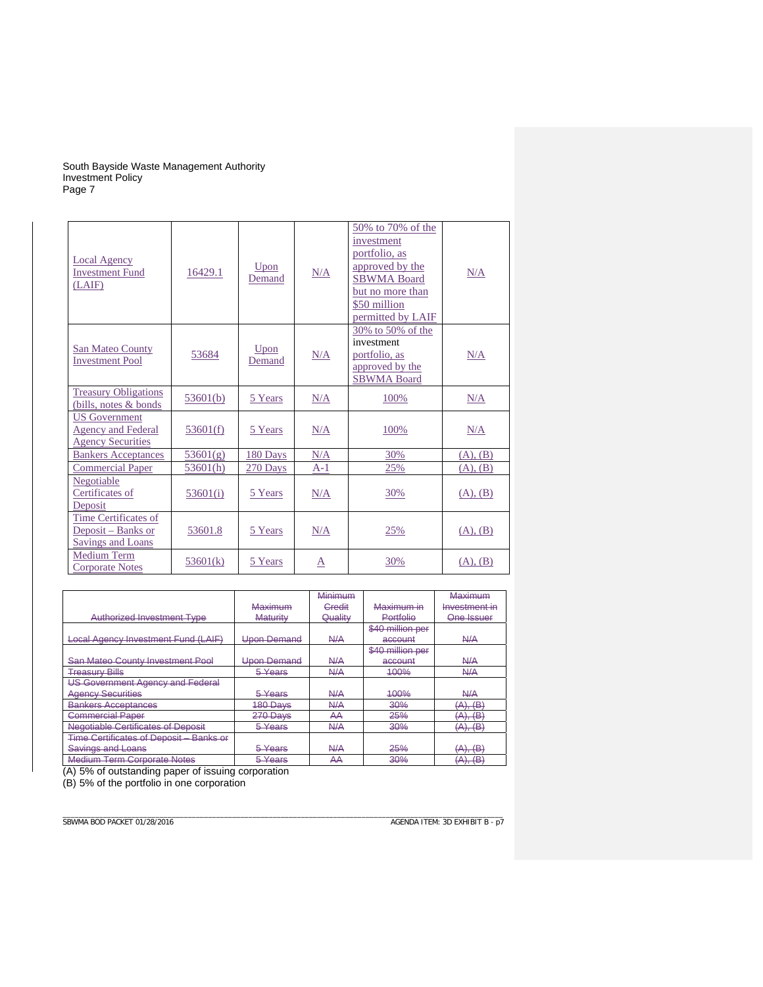| Local Agency<br><b>Investment Fund</b><br>(LAIF)                       | 16429.1  | Upon<br>Demand | N/A   | 50% to 70% of the<br>investment<br>portfolio, as<br>approved by the<br><b>SBWMA Board</b><br>but no more than<br>\$50 million<br>permitted by LAIF | N/A      |
|------------------------------------------------------------------------|----------|----------------|-------|----------------------------------------------------------------------------------------------------------------------------------------------------|----------|
| San Mateo County<br><b>Investment Pool</b>                             | 53684    | Upon<br>Demand | N/A   | 30% to 50% of the<br>investment<br>portfolio, as<br>approved by the<br><b>SBWMA Board</b>                                                          | N/A      |
| <b>Treasury Obligations</b><br>(bills, notes & bonds)                  | 53601(b) | 5 Years        | N/A   | 100%                                                                                                                                               | N/A      |
| <b>US</b> Government<br>Agency and Federal<br><b>Agency Securities</b> | 53601(f) | 5 Years        | N/A   | 100%                                                                                                                                               | N/A      |
| <b>Bankers Acceptances</b>                                             | 53601(g) | 180 Days       | N/A   | 30%                                                                                                                                                | (A), (B) |
| <b>Commercial Paper</b>                                                | 53601(h) | 270 Days       | $A-1$ | 25%                                                                                                                                                | (A), (B) |
| Negotiable<br>Certificates of<br>Deposit                               | 53601(i) | 5 Years        | N/A   | 30%                                                                                                                                                | (A), (B) |
| Time Certificates of<br>Deposit – Banks or<br>Savings and Loans        | 53601.8  | 5 Years        | N/A   | 25%                                                                                                                                                | (A), (B) |
| <b>Medium Term</b><br><b>Corporate Notes</b>                           | 53601(k) | 5 Years        | A     | 30%                                                                                                                                                | (A), (B) |

|                                            |                    | Minimum |                  | <b>Maximum</b>       |
|--------------------------------------------|--------------------|---------|------------------|----------------------|
|                                            | Maximum            | Credit  | Maximum in       | Investment in        |
| Authorized Investment Type                 | Maturity           | Quality | Portfolio        | One Issuer           |
|                                            |                    |         | \$40 million per |                      |
| <b>Local Agency Investment Fund (LAIF)</b> | <b>Upon Demand</b> | N/A     | account          | N/A                  |
|                                            |                    |         | \$40 million per |                      |
| San Mateo County Investment Pool           | <b>Upon Demand</b> | N/A     | account          | N/A                  |
| <b>Treasury Bills</b>                      | 5 Years            | N/A     | 100%             | A/A                  |
| US Government Agency and Federal           |                    |         |                  |                      |
| <b>Agency Securities</b>                   | 5 Years            | N/A     | 100%             | N/A                  |
| <b>Bankers Acceptances</b>                 | 180 Days           | N/A     | 30%              | (B                   |
| <b>Commercial Paper</b>                    | 270 Days           | AA      | 25%              | <b>(B)</b><br>(A).   |
| <b>Negotiable Certificates of Deposit</b>  | 5-Years            | A/A     | 30%              | (B)<br>(A),          |
| Time Certificates of Deposit - Banks or    |                    |         |                  |                      |
| Savings and Loans                          | 5 Years            | A/A     | 25%              | (B)<br><del>w.</del> |
| <b>Medium Term Corporate Notes</b>         | 5 Years            | AA      | 30%              | (B<br>$\mathbf{t}$   |

(A) 5% of outstanding paper of issuing corporation

(B) 5% of the portfolio in one corporation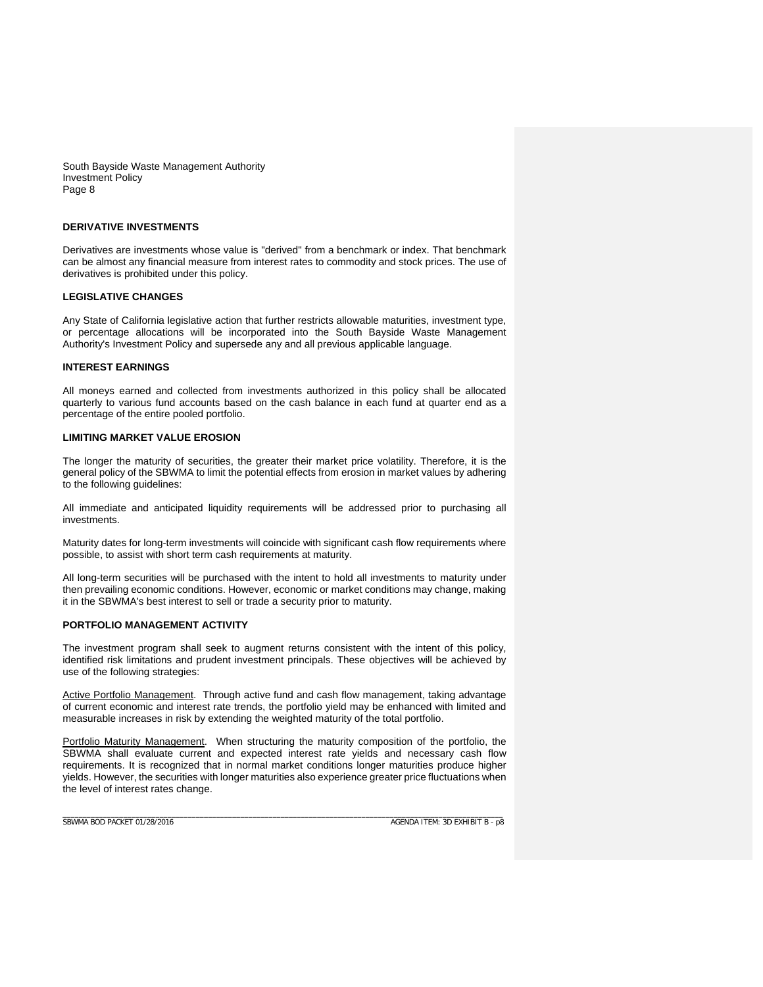## **DERIVATIVE INVESTMENTS**

Derivatives are investments whose value is "derived" from a benchmark or index. That benchmark can be almost any financial measure from interest rates to commodity and stock prices. The use of derivatives is prohibited under this policy.

## **LEGISLATIVE CHANGES**

Any State of California legislative action that further restricts allowable maturities, investment type, or percentage allocations will be incorporated into the South Bayside Waste Management Authority's Investment Policy and supersede any and all previous applicable language.

### **INTEREST EARNINGS**

All moneys earned and collected from investments authorized in this policy shall be allocated quarterly to various fund accounts based on the cash balance in each fund at quarter end as a percentage of the entire pooled portfolio.

# **LIMITING MARKET VALUE EROSION**

The longer the maturity of securities, the greater their market price volatility. Therefore, it is the general policy of the SBWMA to limit the potential effects from erosion in market values by adhering to the following guidelines:

All immediate and anticipated liquidity requirements will be addressed prior to purchasing all investments.

Maturity dates for long-term investments will coincide with significant cash flow requirements where possible, to assist with short term cash requirements at maturity.

All long-term securities will be purchased with the intent to hold all investments to maturity under then prevailing economic conditions. However, economic or market conditions may change, making it in the SBWMA's best interest to sell or trade a security prior to maturity.

# **PORTFOLIO MANAGEMENT ACTIVITY**

The investment program shall seek to augment returns consistent with the intent of this policy, identified risk limitations and prudent investment principals. These objectives will be achieved by use of the following strategies:

Active Portfolio Management. Through active fund and cash flow management, taking advantage of current economic and interest rate trends, the portfolio yield may be enhanced with limited and measurable increases in risk by extending the weighted maturity of the total portfolio.

Portfolio Maturity Management. When structuring the maturity composition of the portfolio, the SBWMA shall evaluate current and expected interest rate yields and necessary cash flow requirements. It is recognized that in normal market conditions longer maturities produce higher yields. However, the securities with longer maturities also experience greater price fluctuations when the level of interest rates change.

\_\_\_\_\_\_\_\_\_\_\_\_\_\_\_\_\_\_\_\_\_\_\_\_\_\_\_\_\_\_\_\_\_\_\_\_\_\_\_\_\_\_\_\_\_\_\_\_\_\_\_\_\_\_\_\_\_\_\_\_\_\_\_\_\_\_\_\_\_\_\_\_\_\_\_\_\_\_\_\_\_\_\_\_\_\_\_\_\_\_\_\_\_\_\_\_\_\_\_\_\_\_\_\_\_\_\_\_\_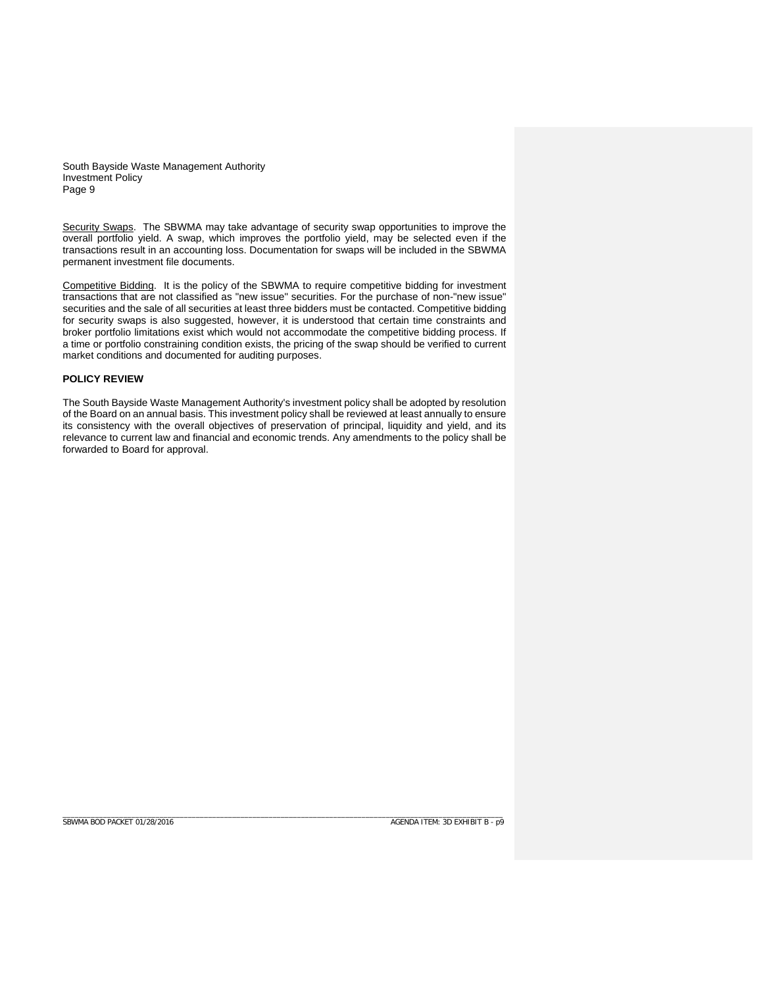Security Swaps. The SBWMA may take advantage of security swap opportunities to improve the overall portfolio yield. A swap, which improves the portfolio yield, may be selected even if the transactions result in an accounting loss. Documentation for swaps will be included in the SBWMA permanent investment file documents.

Competitive Bidding. It is the policy of the SBWMA to require competitive bidding for investment transactions that are not classified as "new issue" securities. For the purchase of non-"new issue" securities and the sale of all securities at least three bidders must be contacted. Competitive bidding for security swaps is also suggested, however, it is understood that certain time constraints and broker portfolio limitations exist which would not accommodate the competitive bidding process. If a time or portfolio constraining condition exists, the pricing of the swap should be verified to current market conditions and documented for auditing purposes.

# **POLICY REVIEW**

The South Bayside Waste Management Authority's investment policy shall be adopted by resolution of the Board on an annual basis. This investment policy shall be reviewed at least annually to ensure its consistency with the overall objectives of preservation of principal, liquidity and yield, and its relevance to current law and financial and economic trends. Any amendments to the policy shall be forwarded to Board for approval.

\_\_\_\_\_\_\_\_\_\_\_\_\_\_\_\_\_\_\_\_\_\_\_\_\_\_\_\_\_\_\_\_\_\_\_\_\_\_\_\_\_\_\_\_\_\_\_\_\_\_\_\_\_\_\_\_\_\_\_\_\_\_\_\_\_\_\_\_\_\_\_\_\_\_\_\_\_\_\_\_\_\_\_\_\_\_\_\_\_\_\_\_\_\_\_\_\_\_\_\_\_\_\_\_\_\_\_\_\_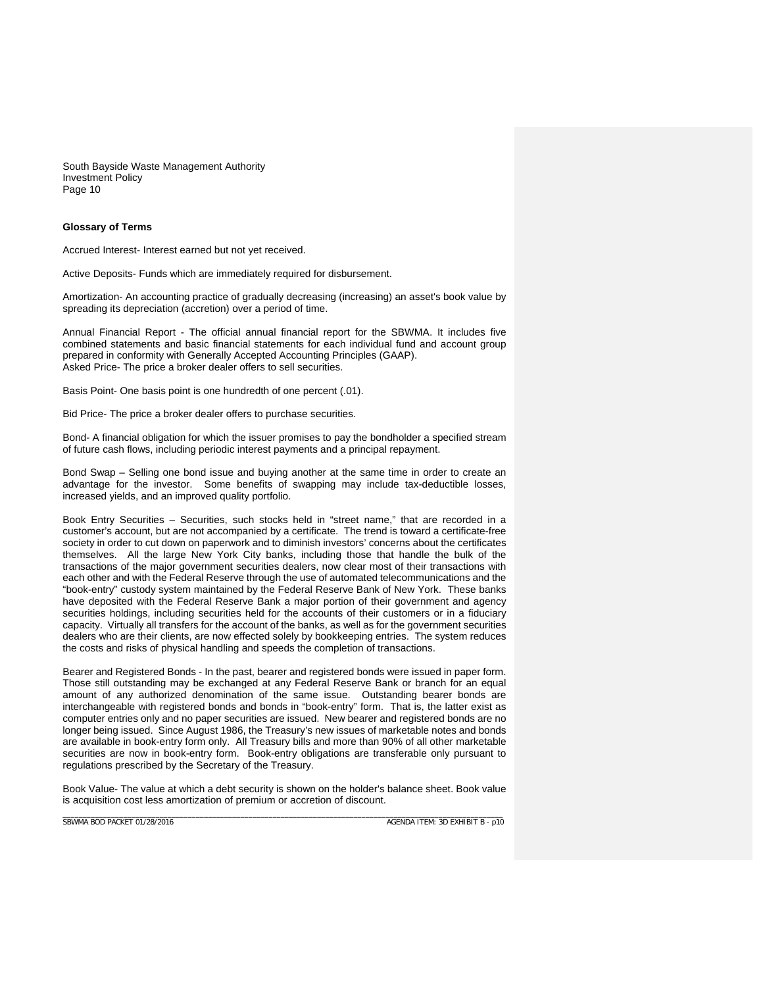### **Glossary of Terms**

Accrued Interest- Interest earned but not yet received.

Active Deposits- Funds which are immediately required for disbursement.

Amortization- An accounting practice of gradually decreasing (increasing) an asset's book value by spreading its depreciation (accretion) over a period of time.

Annual Financial Report - The official annual financial report for the SBWMA. It includes five combined statements and basic financial statements for each individual fund and account group prepared in conformity with Generally Accepted Accounting Principles (GAAP). Asked Price- The price a broker dealer offers to sell securities.

Basis Point- One basis point is one hundredth of one percent (.01).

Bid Price- The price a broker dealer offers to purchase securities.

Bond- A financial obligation for which the issuer promises to pay the bondholder a specified stream of future cash flows, including periodic interest payments and a principal repayment.

Bond Swap – Selling one bond issue and buying another at the same time in order to create an advantage for the investor. Some benefits of swapping may include tax-deductible losses, increased yields, and an improved quality portfolio.

Book Entry Securities – Securities, such stocks held in "street name," that are recorded in a customer's account, but are not accompanied by a certificate. The trend is toward a certificate-free society in order to cut down on paperwork and to diminish investors' concerns about the certificates themselves. All the large New York City banks, including those that handle the bulk of the transactions of the major government securities dealers, now clear most of their transactions with each other and with the Federal Reserve through the use of automated telecommunications and the "book-entry" custody system maintained by the Federal Reserve Bank of New York. These banks have deposited with the Federal Reserve Bank a major portion of their government and agency securities holdings, including securities held for the accounts of their customers or in a fiduciary capacity. Virtually all transfers for the account of the banks, as well as for the government securities dealers who are their clients, are now effected solely by bookkeeping entries. The system reduces the costs and risks of physical handling and speeds the completion of transactions.

Bearer and Registered Bonds - In the past, bearer and registered bonds were issued in paper form. Those still outstanding may be exchanged at any Federal Reserve Bank or branch for an equal amount of any authorized denomination of the same issue. Outstanding bearer bonds are interchangeable with registered bonds and bonds in "book-entry" form. That is, the latter exist as computer entries only and no paper securities are issued. New bearer and registered bonds are no longer being issued. Since August 1986, the Treasury's new issues of marketable notes and bonds are available in book-entry form only. All Treasury bills and more than 90% of all other marketable securities are now in book-entry form. Book-entry obligations are transferable only pursuant to regulations prescribed by the Secretary of the Treasury.

\_\_\_\_\_\_\_\_\_\_\_\_\_\_\_\_\_\_\_\_\_\_\_\_\_\_\_\_\_\_\_\_\_\_\_\_\_\_\_\_\_\_\_\_\_\_\_\_\_\_\_\_\_\_\_\_\_\_\_\_\_\_\_\_\_\_\_\_\_\_\_\_\_\_\_\_\_\_\_\_\_\_\_\_\_\_\_\_\_\_\_\_\_\_\_\_\_\_\_\_\_\_\_\_\_\_\_\_\_ Book Value- The value at which a debt security is shown on the holder's balance sheet. Book value is acquisition cost less amortization of premium or accretion of discount.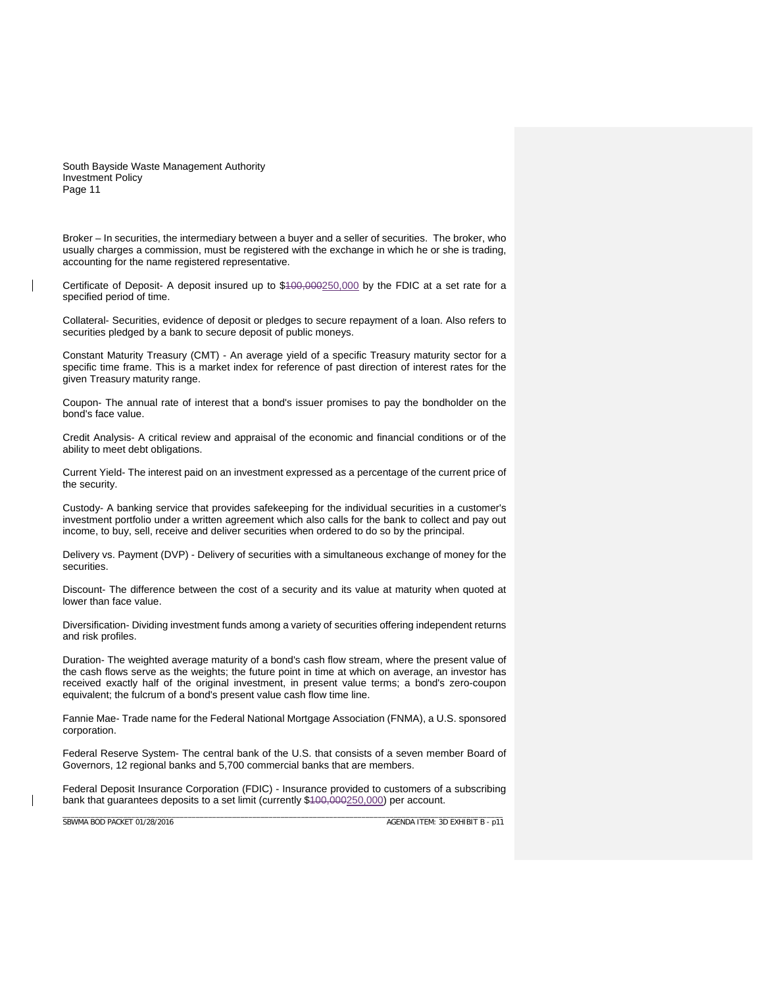Broker – In securities, the intermediary between a buyer and a seller of securities. The broker, who usually charges a commission, must be registered with the exchange in which he or she is trading, accounting for the name registered representative.

Certificate of Deposit- A deposit insured up to \$100,000250,000 by the FDIC at a set rate for a specified period of time.

Collateral- Securities, evidence of deposit or pledges to secure repayment of a loan. Also refers to securities pledged by a bank to secure deposit of public moneys.

Constant Maturity Treasury (CMT) - An average yield of a specific Treasury maturity sector for a specific time frame. This is a market index for reference of past direction of interest rates for the given Treasury maturity range.

Coupon- The annual rate of interest that a bond's issuer promises to pay the bondholder on the bond's face value.

Credit Analysis- A critical review and appraisal of the economic and financial conditions or of the ability to meet debt obligations.

Current Yield- The interest paid on an investment expressed as a percentage of the current price of the security.

Custody- A banking service that provides safekeeping for the individual securities in a customer's investment portfolio under a written agreement which also calls for the bank to collect and pay out income, to buy, sell, receive and deliver securities when ordered to do so by the principal.

Delivery vs. Payment (DVP) - Delivery of securities with a simultaneous exchange of money for the securities.

Discount- The difference between the cost of a security and its value at maturity when quoted at lower than face value.

Diversification- Dividing investment funds among a variety of securities offering independent returns and risk profiles.

Duration- The weighted average maturity of a bond's cash flow stream, where the present value of the cash flows serve as the weights; the future point in time at which on average, an investor has received exactly half of the original investment, in present value terms; a bond's zero-coupon equivalent; the fulcrum of a bond's present value cash flow time line.

Fannie Mae- Trade name for the Federal National Mortgage Association (FNMA), a U.S. sponsored corporation.

Federal Reserve System- The central bank of the U.S. that consists of a seven member Board of Governors, 12 regional banks and 5,700 commercial banks that are members.

Federal Deposit Insurance Corporation (FDIC) - Insurance provided to customers of a subscribing bank that guarantees deposits to a set limit (currently \$100,000250,000) per account.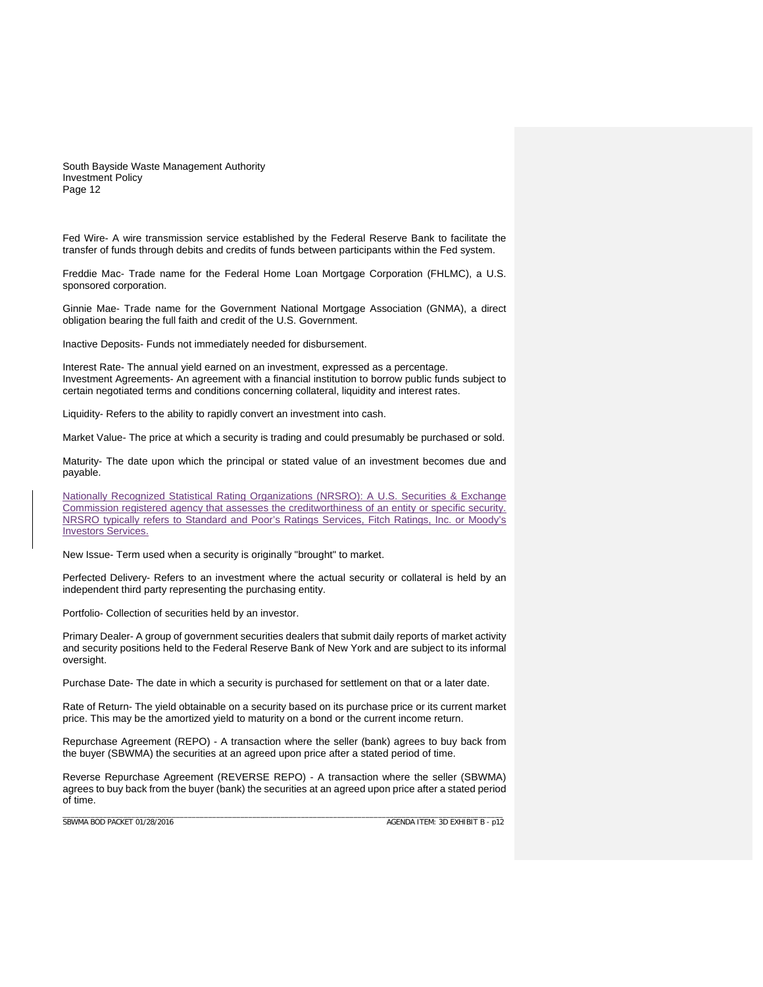Fed Wire- A wire transmission service established by the Federal Reserve Bank to facilitate the transfer of funds through debits and credits of funds between participants within the Fed system.

Freddie Mac- Trade name for the Federal Home Loan Mortgage Corporation (FHLMC), a U.S. sponsored corporation.

Ginnie Mae- Trade name for the Government National Mortgage Association (GNMA), a direct obligation bearing the full faith and credit of the U.S. Government.

Inactive Deposits- Funds not immediately needed for disbursement.

Interest Rate- The annual yield earned on an investment, expressed as a percentage. Investment Agreements- An agreement with a financial institution to borrow public funds subject to certain negotiated terms and conditions concerning collateral, liquidity and interest rates.

Liquidity- Refers to the ability to rapidly convert an investment into cash.

Market Value- The price at which a security is trading and could presumably be purchased or sold.

Maturity- The date upon which the principal or stated value of an investment becomes due and payable.

Nationally Recognized Statistical Rating Organizations (NRSRO): A U.S. Securities & Exchange Commission registered agency that assesses the creditworthiness of an entity or specific security. NRSRO typically refers to Standard and Poor's Ratings Services, Fitch Ratings, Inc. or Moody's Investors Services.

New Issue- Term used when a security is originally "brought" to market.

Perfected Delivery- Refers to an investment where the actual security or collateral is held by an independent third party representing the purchasing entity.

Portfolio- Collection of securities held by an investor.

Primary Dealer- A group of government securities dealers that submit daily reports of market activity and security positions held to the Federal Reserve Bank of New York and are subject to its informal oversight.

Purchase Date- The date in which a security is purchased for settlement on that or a later date.

Rate of Return- The yield obtainable on a security based on its purchase price or its current market price. This may be the amortized yield to maturity on a bond or the current income return.

Repurchase Agreement (REPO) - A transaction where the seller (bank) agrees to buy back from the buyer (SBWMA) the securities at an agreed upon price after a stated period of time.

Reverse Repurchase Agreement (REVERSE REPO) - A transaction where the seller (SBWMA) agrees to buy back from the buyer (bank) the securities at an agreed upon price after a stated period of time.